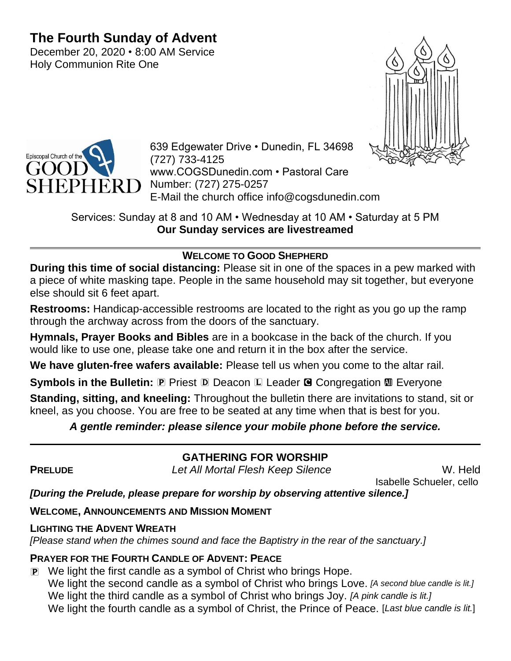# **The Fourth Sunday of Advent**

December 20, 2020 • 8:00 AM Service Holy Communion Rite One





639 Edgewater Drive • Dunedin, FL 34698 (727) 733-4125 www.COGSDunedin.com • Pastoral Care Number: (727) 275-0257 E-Mail the church office info@cogsdunedin.com

Services: Sunday at 8 and 10 AM • Wednesday at 10 AM • Saturday at 5 PM **Our Sunday services are livestreamed**

#### **WELCOME TO GOOD SHEPHERD**

**During this time of social distancing:** Please sit in one of the spaces in a pew marked with a piece of white masking tape. People in the same household may sit together, but everyone else should sit 6 feet apart.

**Restrooms:** Handicap-accessible restrooms are located to the right as you go up the ramp through the archway across from the doors of the sanctuary.

**Hymnals, Prayer Books and Bibles** are in a bookcase in the back of the church. If you would like to use one, please take one and return it in the box after the service.

**We have gluten-free wafers available:** Please tell us when you come to the altar rail.

**Symbols in the Bulletin: P** Priest **D** Deacon **L** Leader **G** Congregation **M** Everyone

**Standing, sitting, and kneeling:** Throughout the bulletin there are invitations to stand, sit or kneel, as you choose. You are free to be seated at any time when that is best for you.

## *A gentle reminder: please silence your mobile phone before the service.*

**GATHERING FOR WORSHIP PRELUDE** *Let All Mortal Flesh Keep Silence* W. Held

Isabelle Schueler, cello

*[During the Prelude, please prepare for worship by observing attentive silence.]*

## **WELCOME, ANNOUNCEMENTS AND MISSION MOMENT**

#### **LIGHTING THE ADVENT WREATH**

*[Please stand when the chimes sound and face the Baptistry in the rear of the sanctuary.]*

## **PRAYER FOR THE FOURTH CANDLE OF ADVENT: PEACE**

P We light the first candle as a symbol of Christ who brings Hope. We light the second candle as a symbol of Christ who brings Love. *[A second blue candle is lit.]* We light the third candle as a symbol of Christ who brings Joy. *[A pink candle is lit.]* We light the fourth candle as a symbol of Christ, the Prince of Peace. [*Last blue candle is lit.*]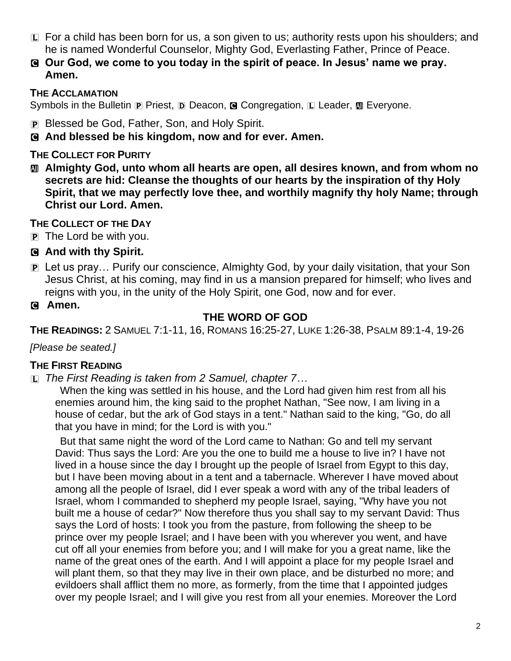- $\Box$  For a child has been born for us, a son given to us; authority rests upon his shoulders; and he is named Wonderful Counselor, Mighty God, Everlasting Father, Prince of Peace.
- C **Our God, we come to you today in the spirit of peace. In Jesus' name we pray. Amen.**

#### **THE ACCLAMATION**

Symbols in the Bulletin P Priest, D Deacon,  $\blacksquare$  Congregation,  $\square$  Leader,  $\square$  Everyone.

- P Blessed be God, Father, Son, and Holy Spirit.
- C **And blessed be his kingdom, now and for ever. Amen.**

#### **THE COLLECT FOR PURITY**

a **Almighty God, unto whom all hearts are open, all desires known, and from whom no secrets are hid: Cleanse the thoughts of our hearts by the inspiration of thy Holy Spirit, that we may perfectly love thee, and worthily magnify thy holy Name; through Christ our Lord. Amen.**

**THE COLLECT OF THE DAY**

- $\overline{p}$  The Lord be with you.
- C **And with thy Spirit.**
- P Let us pray… Purify our conscience, Almighty God, by your daily visitation, that your Son Jesus Christ, at his coming, may find in us a mansion prepared for himself; who lives and reigns with you, in the unity of the Holy Spirit, one God, now and for ever.
- C **Amen.**

## **THE WORD OF GOD**

**THE READINGS:** 2 SAMUEL 7:1-11, 16, ROMANS 16:25-27, LUKE 1:26-38, PSALM 89:1-4, 19-26

*[Please be seated.]*

#### **THE FIRST READING**

L *The First Reading is taken from 2 Samuel, chapter 7…*

When the king was settled in his house, and the Lord had given him rest from all his enemies around him, the king said to the prophet Nathan, "See now, I am living in a house of cedar, but the ark of God stays in a tent." Nathan said to the king, "Go, do all that you have in mind; for the Lord is with you."

But that same night the word of the Lord came to Nathan: Go and tell my servant David: Thus says the Lord: Are you the one to build me a house to live in? I have not lived in a house since the day I brought up the people of Israel from Egypt to this day, but I have been moving about in a tent and a tabernacle. Wherever I have moved about among all the people of Israel, did I ever speak a word with any of the tribal leaders of Israel, whom I commanded to shepherd my people Israel, saying, "Why have you not built me a house of cedar?" Now therefore thus you shall say to my servant David: Thus says the Lord of hosts: I took you from the pasture, from following the sheep to be prince over my people Israel; and I have been with you wherever you went, and have cut off all your enemies from before you; and I will make for you a great name, like the name of the great ones of the earth. And I will appoint a place for my people Israel and will plant them, so that they may live in their own place, and be disturbed no more; and evildoers shall afflict them no more, as formerly, from the time that I appointed judges over my people Israel; and I will give you rest from all your enemies. Moreover the Lord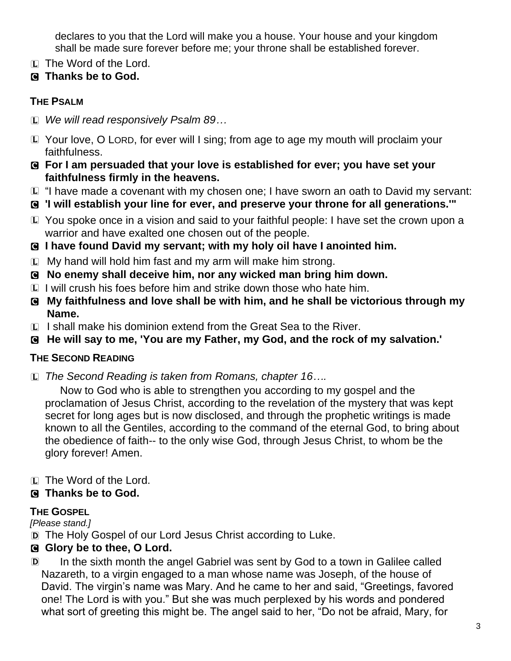declares to you that the Lord will make you a house. Your house and your kingdom shall be made sure forever before me; your throne shall be established forever.

L The Word of the Lord.

## C **Thanks be to God.**

#### **THE PSALM**

- L *We will read responsively Psalm 89…*
- L Your love, O LORD, for ever will I sing; from age to age my mouth will proclaim your faithfulness.
- C **For I am persuaded that your love is established for ever; you have set your faithfulness firmly in the heavens.**
- L "I have made a covenant with my chosen one; I have sworn an oath to David my servant:
- C **'I will establish your line for ever, and preserve your throne for all generations.'"**
- L You spoke once in a vision and said to your faithful people: I have set the crown upon a warrior and have exalted one chosen out of the people.
- C **I have found David my servant; with my holy oil have I anointed him.**
- L My hand will hold him fast and my arm will make him strong.
- C **No enemy shall deceive him, nor any wicked man bring him down.**
- L I will crush his foes before him and strike down those who hate him.
- C **My faithfulness and love shall be with him, and he shall be victorious through my Name.**
- $\Box$  I shall make his dominion extend from the Great Sea to the River.
- C **He will say to me, 'You are my Father, my God, and the rock of my salvation.'**

#### **THE SECOND READING**

L *The Second Reading is taken from Romans, chapter 16….*

Now to God who is able to strengthen you according to my gospel and the proclamation of Jesus Christ, according to the revelation of the mystery that was kept secret for long ages but is now disclosed, and through the prophetic writings is made known to all the Gentiles, according to the command of the eternal God, to bring about the obedience of faith-- to the only wise God, through Jesus Christ, to whom be the glory forever! Amen.

 $\Box$  The Word of the Lord.

## C **Thanks be to God.**

## **THE GOSPEL**

*[Please stand.]*

D The Holy Gospel of our Lord Jesus Christ according to Luke.

#### **G** Glory be to thee, O Lord.

D In the sixth month the angel Gabriel was sent by God to a town in Galilee called Nazareth, to a virgin engaged to a man whose name was Joseph, of the house of David. The virgin's name was Mary. And he came to her and said, "Greetings, favored one! The Lord is with you." But she was much perplexed by his words and pondered what sort of greeting this might be. The angel said to her, "Do not be afraid, Mary, for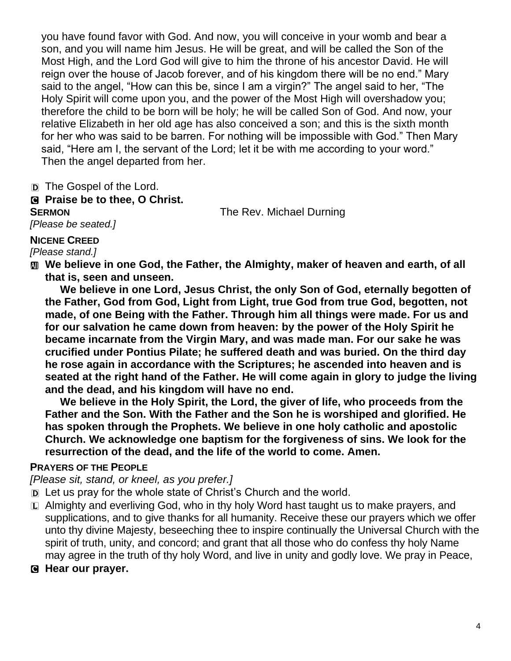you have found favor with God. And now, you will conceive in your womb and bear a son, and you will name him Jesus. He will be great, and will be called the Son of the Most High, and the Lord God will give to him the throne of his ancestor David. He will reign over the house of Jacob forever, and of his kingdom there will be no end." Mary said to the angel, "How can this be, since I am a virgin?" The angel said to her, "The Holy Spirit will come upon you, and the power of the Most High will overshadow you; therefore the child to be born will be holy; he will be called Son of God. And now, your relative Elizabeth in her old age has also conceived a son; and this is the sixth month for her who was said to be barren. For nothing will be impossible with God." Then Mary said, "Here am I, the servant of the Lord; let it be with me according to your word." Then the angel departed from her.

D The Gospel of the Lord.

#### C **Praise be to thee, O Christ.**

*[Please be seated.]*

**SERMON** The Rev. Michael Durning

## **NICENE CREED**

*[Please stand.]*

a **We believe in one God, the Father, the Almighty, maker of heaven and earth, of all that is, seen and unseen.** 

**We believe in one Lord, Jesus Christ, the only Son of God, eternally begotten of the Father, God from God, Light from Light, true God from true God, begotten, not made, of one Being with the Father. Through him all things were made. For us and for our salvation he came down from heaven: by the power of the Holy Spirit he became incarnate from the Virgin Mary, and was made man. For our sake he was crucified under Pontius Pilate; he suffered death and was buried. On the third day he rose again in accordance with the Scriptures; he ascended into heaven and is seated at the right hand of the Father. He will come again in glory to judge the living and the dead, and his kingdom will have no end.**

**We believe in the Holy Spirit, the Lord, the giver of life, who proceeds from the Father and the Son. With the Father and the Son he is worshiped and glorified. He has spoken through the Prophets. We believe in one holy catholic and apostolic Church. We acknowledge one baptism for the forgiveness of sins. We look for the resurrection of the dead, and the life of the world to come. Amen.**

#### **PRAYERS OF THE PEOPLE**

*[Please sit, stand, or kneel, as you prefer.]*

- D Let us pray for the whole state of Christ's Church and the world.
- L Almighty and everliving God, who in thy holy Word hast taught us to make prayers, and supplications, and to give thanks for all humanity. Receive these our prayers which we offer unto thy divine Majesty, beseeching thee to inspire continually the Universal Church with the spirit of truth, unity, and concord; and grant that all those who do confess thy holy Name may agree in the truth of thy holy Word, and live in unity and godly love. We pray in Peace,
- C **Hear our prayer.**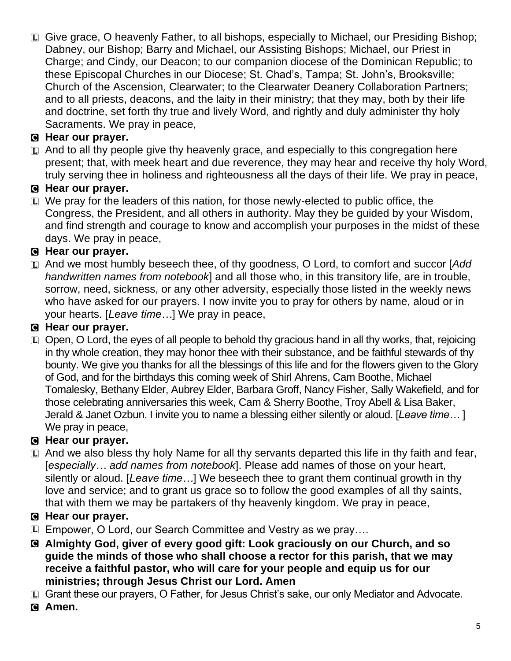L Give grace, O heavenly Father, to all bishops, especially to Michael, our Presiding Bishop; Dabney, our Bishop; Barry and Michael, our Assisting Bishops; Michael, our Priest in Charge; and Cindy, our Deacon; to our companion diocese of the Dominican Republic; to these Episcopal Churches in our Diocese; St. Chad's, Tampa; St. John's, Brooksville; Church of the Ascension, Clearwater; to the Clearwater Deanery Collaboration Partners; and to all priests, deacons, and the laity in their ministry; that they may, both by their life and doctrine, set forth thy true and lively Word, and rightly and duly administer thy holy Sacraments. We pray in peace,

## C **Hear our prayer.**

L And to all thy people give thy heavenly grace, and especially to this congregation here present; that, with meek heart and due reverence, they may hear and receive thy holy Word, truly serving thee in holiness and righteousness all the days of their life. We pray in peace,

#### C **Hear our prayer.**

L We pray for the leaders of this nation, for those newly-elected to public office, the Congress, the President, and all others in authority. May they be guided by your Wisdom, and find strength and courage to know and accomplish your purposes in the midst of these days. We pray in peace,

## C **Hear our prayer.**

L And we most humbly beseech thee, of thy goodness, O Lord, to comfort and succor [*Add handwritten names from notebook*] and all those who, in this transitory life, are in trouble, sorrow, need, sickness, or any other adversity, especially those listed in the weekly news who have asked for our prayers. I now invite you to pray for others by name, aloud or in your hearts. [*Leave time…*] We pray in peace,

## C **Hear our prayer.**

L Open, O Lord, the eyes of all people to behold thy gracious hand in all thy works, that, rejoicing in thy whole creation, they may honor thee with their substance, and be faithful stewards of thy bounty. We give you thanks for all the blessings of this life and for the flowers given to the Glory of God, and for the birthdays this coming week of Shirl Ahrens, Cam Boothe, Michael Tomalesky, Bethany Elder, Aubrey Elder, Barbara Groff, Nancy Fisher, Sally Wakefield, and for those celebrating anniversaries this week, Cam & Sherry Boothe, Troy Abell & Lisa Baker, Jerald & Janet Ozbun. I invite you to name a blessing either silently or aloud. [*Leave time…* ] We pray in peace,

## C **Hear our prayer.**

 $\Box$  And we also bless thy holy Name for all thy servants departed this life in thy faith and fear, [*especially… add names from notebook*]. Please add names of those on your heart, silently or aloud. [*Leave time…*] We beseech thee to grant them continual growth in thy love and service; and to grant us grace so to follow the good examples of all thy saints, that with them we may be partakers of thy heavenly kingdom. We pray in peace,

## C **Hear our prayer.**

- L Empower, O Lord, our Search Committee and Vestry as we pray….
- C **Almighty God, giver of every good gift: Look graciously on our Church, and so guide the minds of those who shall choose a rector for this parish, that we may receive a faithful pastor, who will care for your people and equip us for our ministries; through Jesus Christ our Lord. Amen**
- $\Box$  Grant these our prayers, O Father, for Jesus Christ's sake, our only Mediator and Advocate.

#### C **Amen.**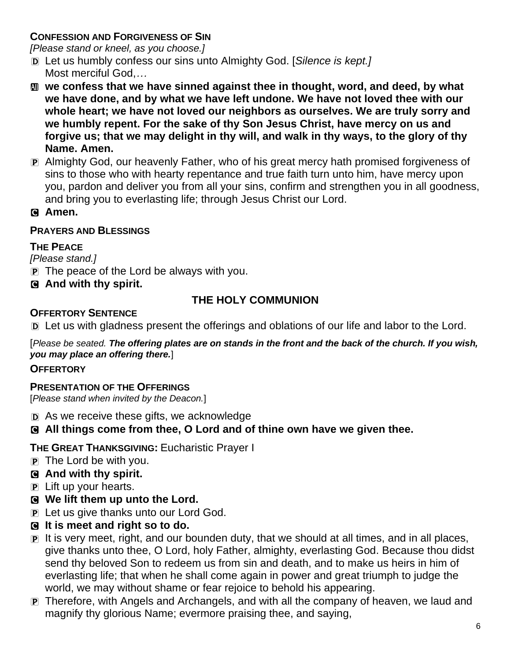#### **CONFESSION AND FORGIVENESS OF SIN**

*[Please stand or kneel, as you choose.]*

- D Let us humbly confess our sins unto Almighty God. [*Silence is kept.]*  Most merciful God,*…*
- **M** we confess that we have sinned against thee in thought, word, and deed, by what **we have done, and by what we have left undone. We have not loved thee with our whole heart; we have not loved our neighbors as ourselves. We are truly sorry and we humbly repent. For the sake of thy Son Jesus Christ, have mercy on us and forgive us; that we may delight in thy will, and walk in thy ways, to the glory of thy Name. Amen.**
- P Almighty God, our heavenly Father, who of his great mercy hath promised forgiveness of sins to those who with hearty repentance and true faith turn unto him, have mercy upon you, pardon and deliver you from all your sins, confirm and strengthen you in all goodness, and bring you to everlasting life; through Jesus Christ our Lord.

#### C **Amen.**

#### **PRAYERS AND BLESSINGS**

#### **THE PEACE**

*[Please stand.]*

P The peace of the Lord be always with you.

#### C **And with thy spirit.**

## **THE HOLY COMMUNION**

#### **OFFERTORY SENTENCE**

D Let us with gladness present the offerings and oblations of our life and labor to the Lord.

[*Please be seated. The offering plates are on stands in the front and the back of the church. If you wish, you may place an offering there.*]

#### **OFFERTORY**

#### **PRESENTATION OF THE OFFERINGS**

[*Please stand when invited by the Deacon.*]

- D As we receive these gifts, we acknowledge
- C **All things come from thee, O Lord and of thine own have we given thee.**

#### **THE GREAT THANKSGIVING:** Eucharistic Prayer I

- $\overline{P}$  The Lord be with you.
- C **And with thy spirit.**
- P Lift up your hearts.
- C **We lift them up unto the Lord.**
- P Let us give thanks unto our Lord God.
- C **It is meet and right so to do.**
- P It is very meet, right, and our bounden duty, that we should at all times, and in all places, give thanks unto thee, O Lord, holy Father, almighty, everlasting God. Because thou didst send thy beloved Son to redeem us from sin and death, and to make us heirs in him of everlasting life; that when he shall come again in power and great triumph to judge the world, we may without shame or fear rejoice to behold his appearing.
- P Therefore, with Angels and Archangels, and with all the company of heaven, we laud and magnify thy glorious Name; evermore praising thee, and saying,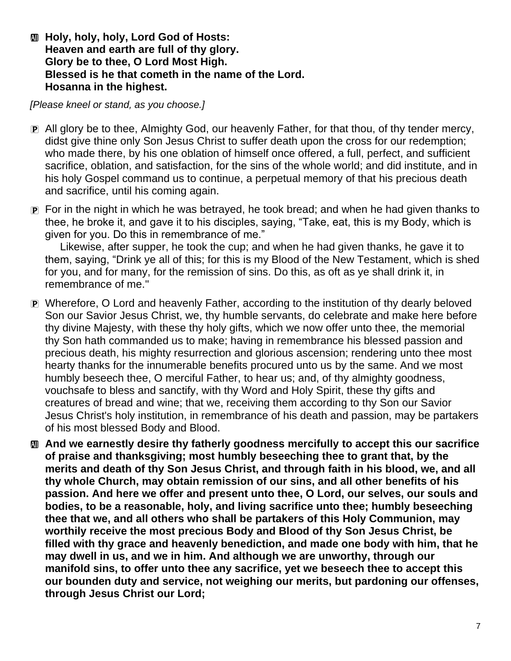#### a **Holy, holy, holy, Lord God of Hosts: Heaven and earth are full of thy glory. Glory be to thee, O Lord Most High. Blessed is he that cometh in the name of the Lord. Hosanna in the highest.**

*[Please kneel or stand, as you choose.]*

- P All glory be to thee, Almighty God, our heavenly Father, for that thou, of thy tender mercy, didst give thine only Son Jesus Christ to suffer death upon the cross for our redemption; who made there, by his one oblation of himself once offered, a full, perfect, and sufficient sacrifice, oblation, and satisfaction, for the sins of the whole world; and did institute, and in his holy Gospel command us to continue, a perpetual memory of that his precious death and sacrifice, until his coming again.
- P For in the night in which he was betrayed, he took bread; and when he had given thanks to thee, he broke it, and gave it to his disciples, saying, "Take, eat, this is my Body, which is given for you. Do this in remembrance of me."

Likewise, after supper, he took the cup; and when he had given thanks, he gave it to them, saying, "Drink ye all of this; for this is my Blood of the New Testament, which is shed for you, and for many, for the remission of sins. Do this, as oft as ye shall drink it, in remembrance of me."

- P Wherefore, O Lord and heavenly Father, according to the institution of thy dearly beloved Son our Savior Jesus Christ, we, thy humble servants, do celebrate and make here before thy divine Majesty, with these thy holy gifts, which we now offer unto thee, the memorial thy Son hath commanded us to make; having in remembrance his blessed passion and precious death, his mighty resurrection and glorious ascension; rendering unto thee most hearty thanks for the innumerable benefits procured unto us by the same. And we most humbly beseech thee, O merciful Father, to hear us; and, of thy almighty goodness, vouchsafe to bless and sanctify, with thy Word and Holy Spirit, these thy gifts and creatures of bread and wine; that we, receiving them according to thy Son our Savior Jesus Christ's holy institution, in remembrance of his death and passion, may be partakers of his most blessed Body and Blood.
- a **And we earnestly desire thy fatherly goodness mercifully to accept this our sacrifice of praise and thanksgiving; most humbly beseeching thee to grant that, by the merits and death of thy Son Jesus Christ, and through faith in his blood, we, and all thy whole Church, may obtain remission of our sins, and all other benefits of his passion. And here we offer and present unto thee, O Lord, our selves, our souls and bodies, to be a reasonable, holy, and living sacrifice unto thee; humbly beseeching thee that we, and all others who shall be partakers of this Holy Communion, may worthily receive the most precious Body and Blood of thy Son Jesus Christ, be filled with thy grace and heavenly benediction, and made one body with him, that he may dwell in us, and we in him. And although we are unworthy, through our manifold sins, to offer unto thee any sacrifice, yet we beseech thee to accept this our bounden duty and service, not weighing our merits, but pardoning our offenses, through Jesus Christ our Lord;**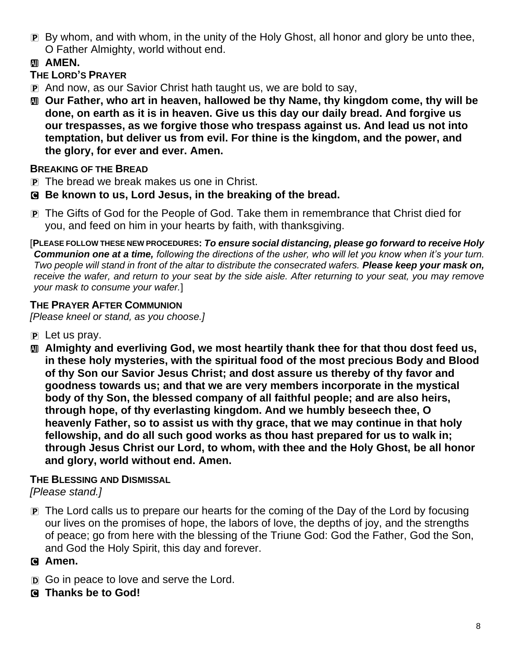- P By whom, and with whom, in the unity of the Holy Ghost, all honor and glory be unto thee, O Father Almighty, world without end.
- **M** AMEN.

### **THE LORD'S PRAYER**

- P And now, as our Savior Christ hath taught us, we are bold to say,
- **<u>m</u>** Our Father, who art in heaven, hallowed be thy Name, thy kingdom come, thy will be **done, on earth as it is in heaven. Give us this day our daily bread. And forgive us our trespasses, as we forgive those who trespass against us. And lead us not into temptation, but deliver us from evil. For thine is the kingdom, and the power, and the glory, for ever and ever. Amen.**

#### **BREAKING OF THE BREAD**

- P The bread we break makes us one in Christ.
- C **Be known to us, Lord Jesus, in the breaking of the bread.**
- P The Gifts of God for the People of God. Take them in remembrance that Christ died for you, and feed on him in your hearts by faith, with thanksgiving.

[**PLEASE FOLLOW THESE NEW PROCEDURES:** *To ensure social distancing, please go forward to receive Holy Communion one at a time, following the directions of the usher, who will let you know when it's your turn. Two people will stand in front of the altar to distribute the consecrated wafers. Please keep your mask on, receive the wafer, and return to your seat by the side aisle. After returning to your seat, you may remove your mask to consume your wafer.*]

#### **THE PRAYER AFTER COMMUNION**

*[Please kneel or stand, as you choose.]*

- $\overline{P}$  Let us pray.
- a **Almighty and everliving God, we most heartily thank thee for that thou dost feed us, in these holy mysteries, with the spiritual food of the most precious Body and Blood of thy Son our Savior Jesus Christ; and dost assure us thereby of thy favor and goodness towards us; and that we are very members incorporate in the mystical body of thy Son, the blessed company of all faithful people; and are also heirs, through hope, of thy everlasting kingdom. And we humbly beseech thee, O heavenly Father, so to assist us with thy grace, that we may continue in that holy fellowship, and do all such good works as thou hast prepared for us to walk in; through Jesus Christ our Lord, to whom, with thee and the Holy Ghost, be all honor and glory, world without end. Amen.**

#### **THE BLESSING AND DISMISSAL**

*[Please stand.]*

- $\mathbb{P}$  The Lord calls us to prepare our hearts for the coming of the Day of the Lord by focusing our lives on the promises of hope, the labors of love, the depths of joy, and the strengths of peace; go from here with the blessing of the Triune God: God the Father, God the Son, and God the Holy Spirit, this day and forever.
- C **Amen.**
- D Go in peace to love and serve the Lord.
- C **Thanks be to God!**